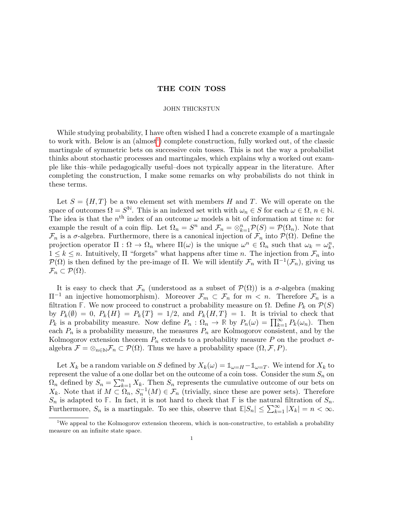## THE COIN TOSS

## JOHN THICKSTUN

While studying probability, I have often wished I had a concrete example of a martingale to work with. Below is an (almost<sup>[1](#page-0-0)</sup>) complete construction, fully worked out, of the classic martingale of symmetric bets on successive coin tosses. This is not the way a probabilist thinks about stochastic processes and martingales, which explains why a worked out example like this–while pedagogically useful–does not typically appear in the literature. After completing the construction, I make some remarks on why probabilists do not think in these terms.

Let  $S = \{H, T\}$  be a two element set with members H and T. We will operate on the space of outcomes  $\Omega = S^{\mathbb{N}}$ . This is an indexed set with with  $\omega_n \in S$  for each  $\omega \in \Omega$ ,  $n \in \mathbb{N}$ . The idea is that the  $n<sup>th</sup>$  index of an outcome  $\omega$  models a bit of information at time n: for example the result of a coin flip. Let  $\Omega_n = S^n$  and  $\mathcal{F}_n = \otimes_{k=1}^n \mathcal{P}(S) = \mathcal{P}(\Omega_n)$ . Note that  $\mathcal{F}_n$  is a  $\sigma$ -algebra. Furthermore, there is a canonical injection of  $\mathcal{F}_n$  into  $\mathcal{P}(\Omega)$ . Define the projection operator  $\Pi : \Omega \to \Omega_n$  where  $\Pi(\omega)$  is the unique  $\omega^n \in \Omega_n$  such that  $\omega_k = \omega_k^n$ ,  $1 \leq k \leq n$ . Intuitively,  $\Pi$  "forgets" what happens after time n. The injection from  $\mathcal{F}_n$  into  $\mathcal{P}(\Omega)$  is then defined by the pre-image of Π. We will identify  $\mathcal{F}_n$  with  $\Pi^{-1}(\mathcal{F}_n)$ , giving us  $\mathcal{F}_n \subset \mathcal{P}(\Omega)$ .

It is easy to check that  $\mathcal{F}_n$  (understood as a subset of  $\mathcal{P}(\Omega)$ ) is a  $\sigma$ -algebra (making  $\Pi^{-1}$  an injective homomorphism). Moreover  $\mathcal{F}_m \subset \mathcal{F}_n$  for  $m < n$ . Therefore  $\mathcal{F}_n$  is a filtration **F**. We now proceed to construct a probability measure on  $\Omega$ . Define  $P_k$  on  $\mathcal{P}(S)$ by  $P_k(\emptyset) = 0$ ,  $P_k\{H\} = P_k\{T\} = 1/2$ , and  $P_k\{H, T\} = 1$ . It is trivial to check that  $P_k$  is a probability measure. Now define  $P_n : \Omega_n \to \mathbb{R}$  by  $P_n(\omega) = \prod_{k=1}^{\infty} P_k(\omega_n)$ . Then each  $P_n$  is a probability measure, the measures  $P_n$  are Kolmogorov consistent, and by the Kolmogorov extension theorem  $P_n$  extends to a probability measure P on the product  $\sigma$ algebra  $\mathcal{F} = \otimes_{n \in \mathbb{N}} \mathcal{F}_n \subset \mathcal{P}(\Omega)$ . Thus we have a probability space  $(\Omega, \mathcal{F}, P)$ .

Let  $X_k$  be a random variable on S defined by  $X_k(\omega) = \mathbb{1}_{\omega = H} - \mathbb{1}_{\omega = T}$ . We intend for  $X_k$  to represent the value of a one dollar bet on the outcome of a coin toss. Consider the sum  $S_n$  on  $\Omega_n$  defined by  $S_n = \sum_{k=1}^n X_k$ . Then  $S_n$  represents the cumulative outcome of our bets on  $X_k$ . Note that if  $M \subset \Omega_n$ ,  $S_n^{-1}(M) \in \mathcal{F}_n$  (trivially, since these are power sets). Therefore  $S_n$  is adapted to **F**. In fact, it is not hard to check that **F** is the natural filtration of  $S_n$ . Furthermore,  $S_n$  is a martingale. To see this, observe that  $\mathbb{E}|S_n| \leq \sum_{k=1}^{\infty} |X_k| = n < \infty$ .

<span id="page-0-0"></span><sup>&</sup>lt;sup>1</sup>We appeal to the Kolmogorov extension theorem, which is non-constructive, to establish a probability measure on an infinite state space.